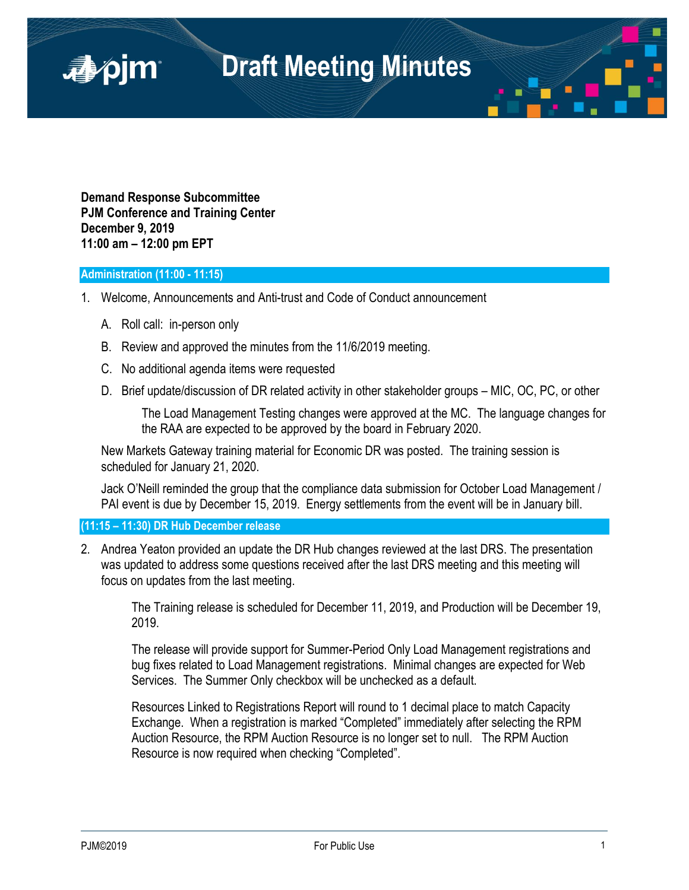

**Demand Response Subcommittee PJM Conference and Training Center December 9, 2019 11:00 am – 12:00 pm EPT**

# **Administration (11:00 - 11:15)**

■pjm

- 1. Welcome, Announcements and Anti-trust and Code of Conduct announcement
	- A. Roll call: in-person only
	- B. Review and approved the minutes from the 11/6/2019 meeting.
	- C. No additional agenda items were requested
	- D. Brief update/discussion of DR related activity in other stakeholder groups MIC, OC, PC, or other

The Load Management Testing changes were approved at the MC. The language changes for the RAA are expected to be approved by the board in February 2020.

New Markets Gateway training material for Economic DR was posted. The training session is scheduled for January 21, 2020.

Jack O'Neill reminded the group that the compliance data submission for October Load Management / PAI event is due by December 15, 2019. Energy settlements from the event will be in January bill.

**(11:15 – 11:30) DR Hub December release**

2. Andrea Yeaton provided an update the DR Hub changes reviewed at the last DRS. The presentation was updated to address some questions received after the last DRS meeting and this meeting will focus on updates from the last meeting.

The Training release is scheduled for December 11, 2019, and Production will be December 19, 2019.

The release will provide support for Summer-Period Only Load Management registrations and bug fixes related to Load Management registrations. Minimal changes are expected for Web Services. The Summer Only checkbox will be unchecked as a default.

Resources Linked to Registrations Report will round to 1 decimal place to match Capacity Exchange. When a registration is marked "Completed" immediately after selecting the RPM Auction Resource, the RPM Auction Resource is no longer set to null. The RPM Auction Resource is now required when checking "Completed".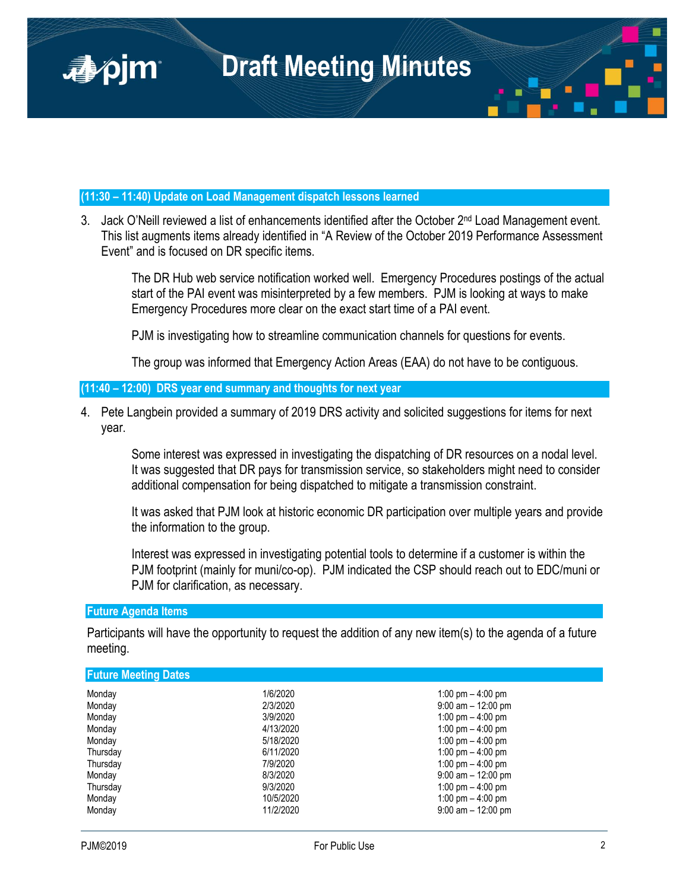

# **(11:30 – 11:40) Update on Load Management dispatch lessons learned**

3. Jack O'Neill reviewed a list of enhancements identified after the October 2<sup>nd</sup> Load Management event. This list augments items already identified in "A Review of the October 2019 Performance Assessment Event" and is focused on DR specific items.

The DR Hub web service notification worked well. Emergency Procedures postings of the actual start of the PAI event was misinterpreted by a few members. PJM is looking at ways to make Emergency Procedures more clear on the exact start time of a PAI event.

PJM is investigating how to streamline communication channels for questions for events.

The group was informed that Emergency Action Areas (EAA) do not have to be contiguous.

# **(11:40 – 12:00) DRS year end summary and thoughts for next year**

4. Pete Langbein provided a summary of 2019 DRS activity and solicited suggestions for items for next year.

Some interest was expressed in investigating the dispatching of DR resources on a nodal level. It was suggested that DR pays for transmission service, so stakeholders might need to consider additional compensation for being dispatched to mitigate a transmission constraint.

It was asked that PJM look at historic economic DR participation over multiple years and provide the information to the group.

Interest was expressed in investigating potential tools to determine if a customer is within the PJM footprint (mainly for muni/co-op). PJM indicated the CSP should reach out to EDC/muni or PJM for clarification, as necessary.

# **Future Agenda Items**

Participants will have the opportunity to request the addition of any new item(s) to the agenda of a future meeting.

# **Future Meeting Dates**

| Monday<br>Monday<br>Monday<br>Monday<br>Monday<br>Thursday<br>Thursday<br>Monday<br>Thursday | 1/6/2020<br>2/3/2020<br>3/9/2020<br>4/13/2020<br>5/18/2020<br>6/11/2020<br>7/9/2020<br>8/3/2020<br>9/3/2020 | 1:00 pm $-$ 4:00 pm<br>$9:00$ am $-12:00$ pm<br>1:00 pm $-$ 4:00 pm<br>1:00 pm $-$ 4:00 pm<br>1:00 pm $-$ 4:00 pm<br>1:00 pm $-$ 4:00 pm<br>1:00 pm $-$ 4:00 pm<br>$9:00$ am $-12:00$ pm<br>1:00 pm $-$ 4:00 pm |
|----------------------------------------------------------------------------------------------|-------------------------------------------------------------------------------------------------------------|-----------------------------------------------------------------------------------------------------------------------------------------------------------------------------------------------------------------|
| Monday                                                                                       | 10/5/2020                                                                                                   | 1:00 pm $-$ 4:00 pm                                                                                                                                                                                             |
| Monday                                                                                       | 11/2/2020                                                                                                   | $9:00$ am $-12:00$ pm                                                                                                                                                                                           |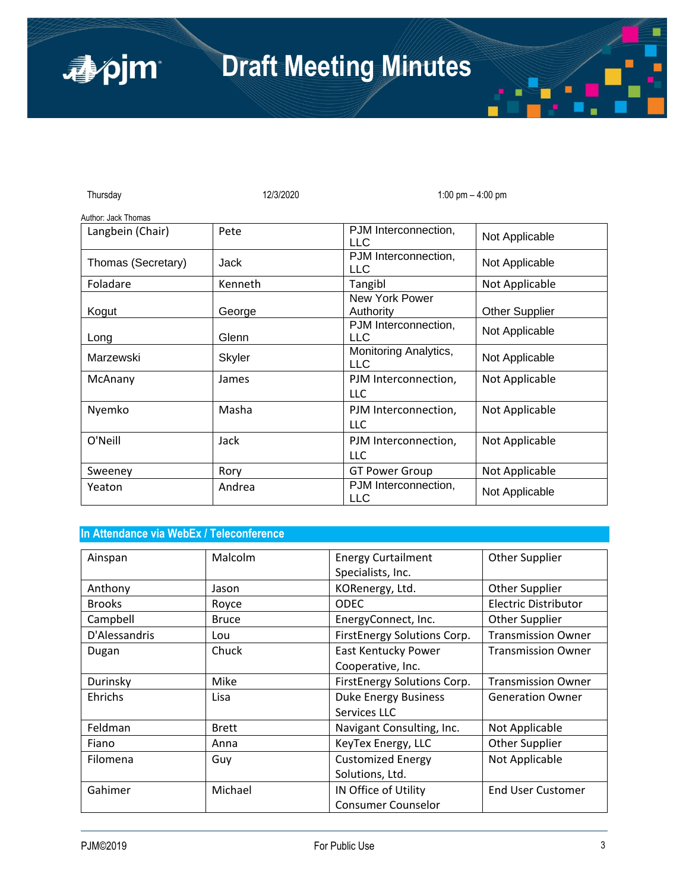| Thursday            | 12/3/2020     | 1:00 pm $-$ 4:00 pm                 |                       |
|---------------------|---------------|-------------------------------------|-----------------------|
| Author: Jack Thomas |               |                                     |                       |
| Langbein (Chair)    | Pete          | PJM Interconnection,<br><b>LLC</b>  | Not Applicable        |
| Thomas (Secretary)  | Jack          | PJM Interconnection,<br><b>LLC</b>  | Not Applicable        |
| Foladare            | Kenneth       | Tangibl                             | Not Applicable        |
| Kogut               | George        | New York Power<br>Authority         | <b>Other Supplier</b> |
| Long                | Glenn         | PJM Interconnection,<br><b>LLC</b>  | Not Applicable        |
| Marzewski           | <b>Skyler</b> | Monitoring Analytics,<br><b>LLC</b> | Not Applicable        |
| McAnany             | James         | PJM Interconnection,<br><b>LLC</b>  | Not Applicable        |
| Nyemko              | Masha         | PJM Interconnection,<br>LLC.        | Not Applicable        |
| O'Neill             | Jack          | PJM Interconnection,<br>LLC         | Not Applicable        |
| Sweeney             | Rory          | <b>GT Power Group</b>               | Not Applicable        |
| Yeaton              | Andrea        | PJM Interconnection,<br><b>LLC</b>  | Not Applicable        |

# **In Attendance via WebEx / Teleconference**

| Ainspan       | Malcolm      | <b>Energy Curtailment</b>   | <b>Other Supplier</b>       |
|---------------|--------------|-----------------------------|-----------------------------|
|               |              | Specialists, Inc.           |                             |
| Anthony       | Jason        | KORenergy, Ltd.             | Other Supplier              |
| <b>Brooks</b> | Royce        | <b>ODEC</b>                 | <b>Electric Distributor</b> |
| Campbell      | <b>Bruce</b> | EnergyConnect, Inc.         | Other Supplier              |
| D'Alessandris | Lou          | FirstEnergy Solutions Corp. | <b>Transmission Owner</b>   |
| Dugan         | Chuck        | <b>East Kentucky Power</b>  | <b>Transmission Owner</b>   |
|               |              | Cooperative, Inc.           |                             |
| Durinsky      | Mike         | FirstEnergy Solutions Corp. | <b>Transmission Owner</b>   |
| Ehrichs       | Lisa         | <b>Duke Energy Business</b> | <b>Generation Owner</b>     |
|               |              | Services LLC                |                             |
| Feldman       | <b>Brett</b> | Navigant Consulting, Inc.   | Not Applicable              |
| Fiano         | Anna         | KeyTex Energy, LLC          | Other Supplier              |
| Filomena      | Guy          | <b>Customized Energy</b>    | Not Applicable              |
|               |              | Solutions, Ltd.             |                             |
| Gahimer       | Michael      | IN Office of Utility        | <b>End User Customer</b>    |
|               |              | <b>Consumer Counselor</b>   |                             |

apjm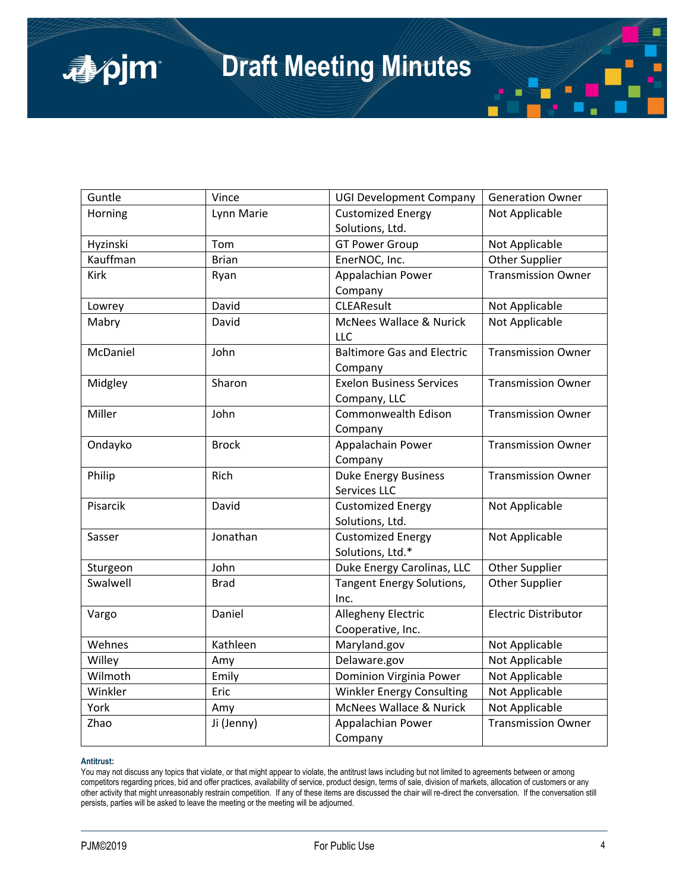| Guntle   | Vince        | <b>UGI Development Company</b>     | <b>Generation Owner</b>     |
|----------|--------------|------------------------------------|-----------------------------|
| Horning  | Lynn Marie   | <b>Customized Energy</b>           | Not Applicable              |
|          |              | Solutions, Ltd.                    |                             |
| Hyzinski | Tom          | <b>GT Power Group</b>              | Not Applicable              |
| Kauffman | <b>Brian</b> | EnerNOC, Inc.                      | Other Supplier              |
| Kirk     | Ryan         | Appalachian Power                  | <b>Transmission Owner</b>   |
|          |              | Company                            |                             |
| Lowrey   | David        | <b>CLEAResult</b>                  | Not Applicable              |
| Mabry    | David        | McNees Wallace & Nurick            | Not Applicable              |
|          |              | <b>LLC</b>                         |                             |
| McDaniel | John         | <b>Baltimore Gas and Electric</b>  | <b>Transmission Owner</b>   |
|          |              | Company                            |                             |
| Midgley  | Sharon       | <b>Exelon Business Services</b>    | <b>Transmission Owner</b>   |
|          |              | Company, LLC                       |                             |
| Miller   | John         | Commonwealth Edison                | <b>Transmission Owner</b>   |
|          |              | Company                            |                             |
| Ondayko  | <b>Brock</b> | Appalachain Power                  | <b>Transmission Owner</b>   |
|          |              | Company                            |                             |
| Philip   | Rich         | <b>Duke Energy Business</b>        | <b>Transmission Owner</b>   |
|          |              | Services LLC                       |                             |
| Pisarcik | David        | <b>Customized Energy</b>           | Not Applicable              |
|          |              | Solutions, Ltd.                    |                             |
| Sasser   | Jonathan     | <b>Customized Energy</b>           | Not Applicable              |
|          |              | Solutions, Ltd.*                   |                             |
| Sturgeon | John         | Duke Energy Carolinas, LLC         | Other Supplier              |
| Swalwell | <b>Brad</b>  | <b>Tangent Energy Solutions,</b>   | Other Supplier              |
|          |              | Inc.                               |                             |
| Vargo    | Daniel       | <b>Allegheny Electric</b>          | <b>Electric Distributor</b> |
|          |              | Cooperative, Inc.                  |                             |
| Wehnes   | Kathleen     | Maryland.gov                       | Not Applicable              |
| Willey   | Amy          | Delaware.gov                       | Not Applicable              |
| Wilmoth  | Emily        | Dominion Virginia Power            | Not Applicable              |
| Winkler  | Eric         | Winkler Energy Consulting          | Not Applicable              |
| York     | Amy          | <b>McNees Wallace &amp; Nurick</b> | Not Applicable              |
| Zhao     | Ji (Jenny)   | Appalachian Power                  | <b>Transmission Owner</b>   |
|          |              | Company                            |                             |

### **Antitrust:**

apjm

You may not discuss any topics that violate, or that might appear to violate, the antitrust laws including but not limited to agreements between or among competitors regarding prices, bid and offer practices, availability of service, product design, terms of sale, division of markets, allocation of customers or any other activity that might unreasonably restrain competition. If any of these items are discussed the chair will re-direct the conversation. If the conversation still persists, parties will be asked to leave the meeting or the meeting will be adjourned.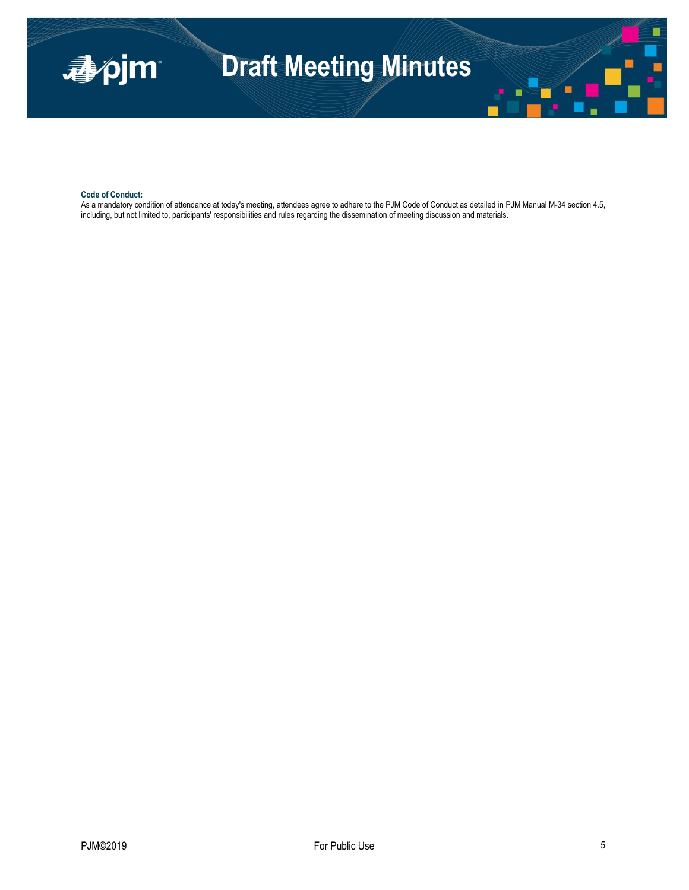

### **Code of Conduct:**

As a mandatory condition of attendance at today's meeting, attendees agree to adhere to the PJM Code of Conduct as detailed in PJM Manual M-34 section 4.5, including, but not limited to, participants' responsibilities and rules regarding the dissemination of meeting discussion and materials.